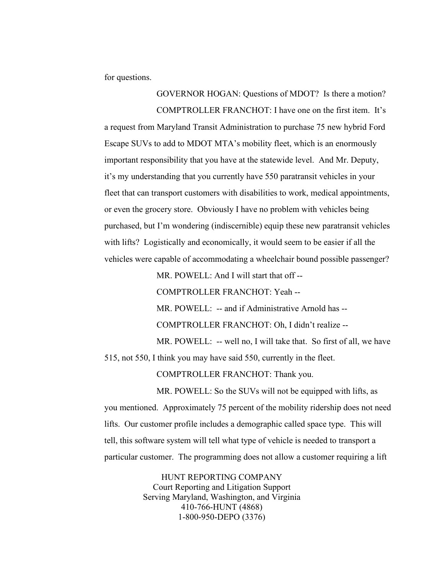for questions.

GOVERNOR HOGAN: Questions of MDOT? Is there a motion? COMPTROLLER FRANCHOT: I have one on the first item. It's a request from Maryland Transit Administration to purchase 75 new hybrid Ford Escape SUVs to add to MDOT MTA's mobility fleet, which is an enormously important responsibility that you have at the statewide level. And Mr. Deputy, it's my understanding that you currently have 550 paratransit vehicles in your fleet that can transport customers with disabilities to work, medical appointments, or even the grocery store. Obviously I have no problem with vehicles being purchased, but I'm wondering (indiscernible) equip these new paratransit vehicles with lifts? Logistically and economically, it would seem to be easier if all the vehicles were capable of accommodating a wheelchair bound possible passenger?

MR. POWELL: And I will start that off --

COMPTROLLER FRANCHOT: Yeah --

MR. POWELL: -- and if Administrative Arnold has --

COMPTROLLER FRANCHOT: Oh, I didn't realize --

MR. POWELL: -- well no, I will take that. So first of all, we have

515, not 550, I think you may have said 550, currently in the fleet.

COMPTROLLER FRANCHOT: Thank you.

MR. POWELL: So the SUVs will not be equipped with lifts, as you mentioned. Approximately 75 percent of the mobility ridership does not need lifts. Our customer profile includes a demographic called space type. This will tell, this software system will tell what type of vehicle is needed to transport a particular customer. The programming does not allow a customer requiring a lift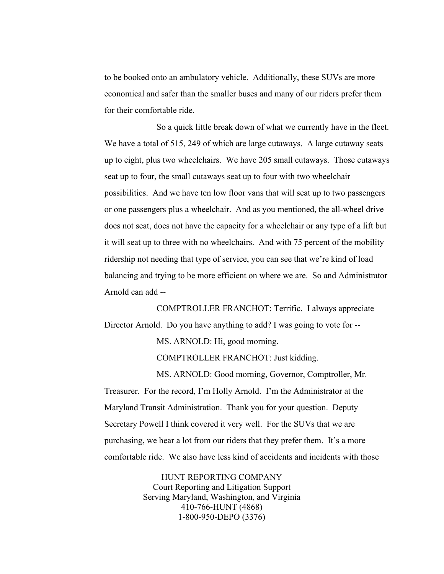to be booked onto an ambulatory vehicle. Additionally, these SUVs are more economical and safer than the smaller buses and many of our riders prefer them for their comfortable ride.

So a quick little break down of what we currently have in the fleet. We have a total of 515, 249 of which are large cutaways. A large cutaway seats up to eight, plus two wheelchairs. We have 205 small cutaways. Those cutaways seat up to four, the small cutaways seat up to four with two wheelchair possibilities. And we have ten low floor vans that will seat up to two passengers or one passengers plus a wheelchair. And as you mentioned, the all-wheel drive does not seat, does not have the capacity for a wheelchair or any type of a lift but it will seat up to three with no wheelchairs. And with 75 percent of the mobility ridership not needing that type of service, you can see that we're kind of load balancing and trying to be more efficient on where we are. So and Administrator Arnold can add --

COMPTROLLER FRANCHOT: Terrific. I always appreciate Director Arnold. Do you have anything to add? I was going to vote for --

MS. ARNOLD: Hi, good morning.

COMPTROLLER FRANCHOT: Just kidding.

MS. ARNOLD: Good morning, Governor, Comptroller, Mr. Treasurer. For the record, I'm Holly Arnold. I'm the Administrator at the Maryland Transit Administration. Thank you for your question. Deputy Secretary Powell I think covered it very well. For the SUVs that we are purchasing, we hear a lot from our riders that they prefer them. It's a more comfortable ride. We also have less kind of accidents and incidents with those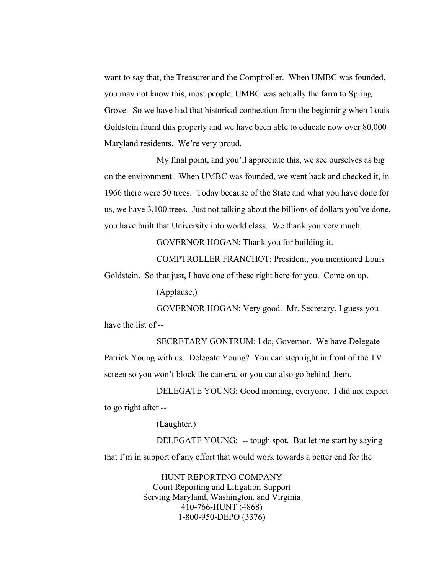want to say that, the Treasurer and the Comptroller. When UMBC was founded, you may not know this, most people, UMBC was actually the farm to Spring Grove. So we have had that historical connection from the beginning when Louis Goldstein found this property and we have been able to educate now over 80,000 Maryland residents. We're very proud.

My final point, and you'll appreciate this, we see ourselves as big on the environment. When UMBC was founded, we went back and checked it, in 1966 there were 50 trees. Today because of the State and what you have done for us, we have 3,100 trees. Just not talking about the billions of dollars you've done, you have built that University into world class. We thank you very much.

GOVERNOR HOGAN: Thank you for building it.

COMPTROLLER FRANCHOT: President, you mentioned Louis Goldstein. So that just, I have one of these right here for you. Come on up.

(Applause.)

GOVERNOR HOGAN: Very good. Mr. Secretary, I guess you have the list of --

SECRETARY GONTRUM: I do, Governor. We have Delegate Patrick Young with us. Delegate Young? You can step right in front of the TV screen so you won't block the camera, or you can also go behind them.

DELEGATE YOUNG: Good morning, everyone. I did not expect to go right after --

(Laughter.)

DELEGATE YOUNG: -- tough spot. But let me start by saying that I'm in support of any effort that would work towards a better end for the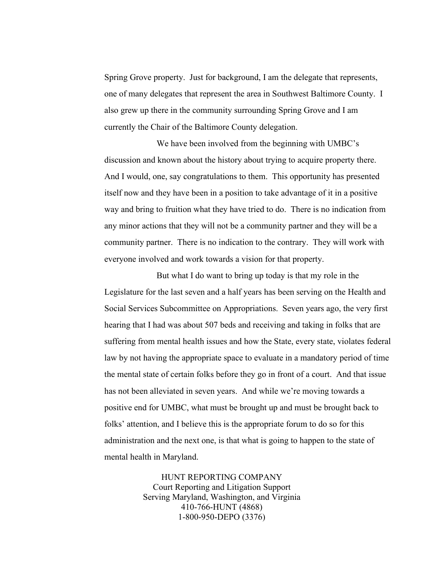Spring Grove property. Just for background, I am the delegate that represents, one of many delegates that represent the area in Southwest Baltimore County. I also grew up there in the community surrounding Spring Grove and I am currently the Chair of the Baltimore County delegation.

We have been involved from the beginning with UMBC's discussion and known about the history about trying to acquire property there. And I would, one, say congratulations to them. This opportunity has presented itself now and they have been in a position to take advantage of it in a positive way and bring to fruition what they have tried to do. There is no indication from any minor actions that they will not be a community partner and they will be a community partner. There is no indication to the contrary. They will work with everyone involved and work towards a vision for that property.

But what I do want to bring up today is that my role in the Legislature for the last seven and a half years has been serving on the Health and Social Services Subcommittee on Appropriations. Seven years ago, the very first hearing that I had was about 507 beds and receiving and taking in folks that are suffering from mental health issues and how the State, every state, violates federal law by not having the appropriate space to evaluate in a mandatory period of time the mental state of certain folks before they go in front of a court. And that issue has not been alleviated in seven years. And while we're moving towards a positive end for UMBC, what must be brought up and must be brought back to folks' attention, and I believe this is the appropriate forum to do so for this administration and the next one, is that what is going to happen to the state of mental health in Maryland.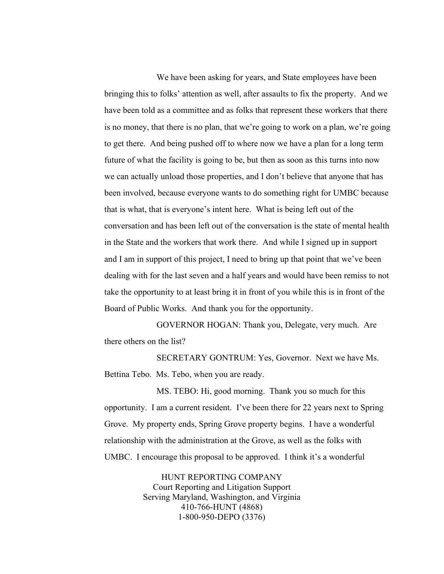We have been asking for years, and State employees have been bringing this to folks' attention as well, after assaults to fix the property. And we have been told as a committee and as folks that represent these workers that there is no money, that there is no plan, that we're going to work on a plan, we're going to get there. And being pushed off to where now we have a plan for a long term future of what the facility is going to be, but then as soon as this turns into now we can actually unload those properties, and I don't believe that anyone that has been involved, because everyone wants to do something right for UMBC because that is what, that is everyone's intent here. What is being left out of the conversation and has been left out of the conversation is the state of mental health in the State and the workers that work there. And while I signed up in support and I am in support of this project, I need to bring up that point that we've been dealing with for the last seven and a half years and would have been remiss to not take the opportunity to at least bring it in front of you while this is in front of the Board of Public Works. And thank you for the opportunity.

GOVERNOR HOGAN: Thank you, Delegate, very much. Are there others on the list?

SECRETARY GONTRUM: Yes, Governor. Next we have Ms. Bettina Tebo. Ms. Tebo, when you are ready.

MS. TEBO: Hi, good morning. Thank you so much for this opportunity. I am a current resident. I've been there for 22 years next to Spring Grove. My property ends, Spring Grove property begins. I have a wonderful relationship with the administration at the Grove, as well as the folks with UMBC. I encourage this proposal to be approved. I think it's a wonderful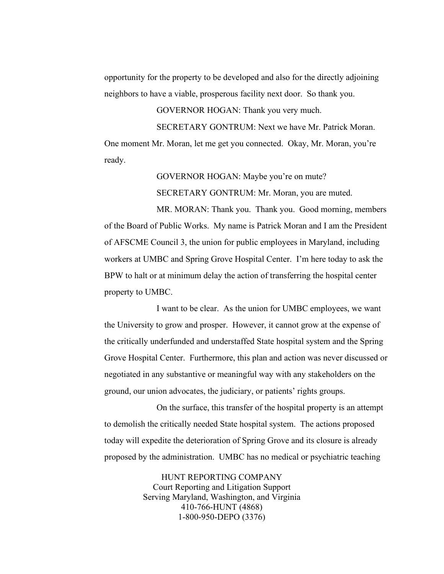opportunity for the property to be developed and also for the directly adjoining neighbors to have a viable, prosperous facility next door. So thank you.

GOVERNOR HOGAN: Thank you very much.

SECRETARY GONTRUM: Next we have Mr. Patrick Moran. One moment Mr. Moran, let me get you connected. Okay, Mr. Moran, you're ready.

> GOVERNOR HOGAN: Maybe you're on mute? SECRETARY GONTRUM: Mr. Moran, you are muted.

MR. MORAN: Thank you. Thank you. Good morning, members of the Board of Public Works. My name is Patrick Moran and I am the President of AFSCME Council 3, the union for public employees in Maryland, including workers at UMBC and Spring Grove Hospital Center. I'm here today to ask the BPW to halt or at minimum delay the action of transferring the hospital center property to UMBC.

I want to be clear. As the union for UMBC employees, we want the University to grow and prosper. However, it cannot grow at the expense of the critically underfunded and understaffed State hospital system and the Spring Grove Hospital Center. Furthermore, this plan and action was never discussed or negotiated in any substantive or meaningful way with any stakeholders on the ground, our union advocates, the judiciary, or patients' rights groups.

On the surface, this transfer of the hospital property is an attempt to demolish the critically needed State hospital system. The actions proposed today will expedite the deterioration of Spring Grove and its closure is already proposed by the administration. UMBC has no medical or psychiatric teaching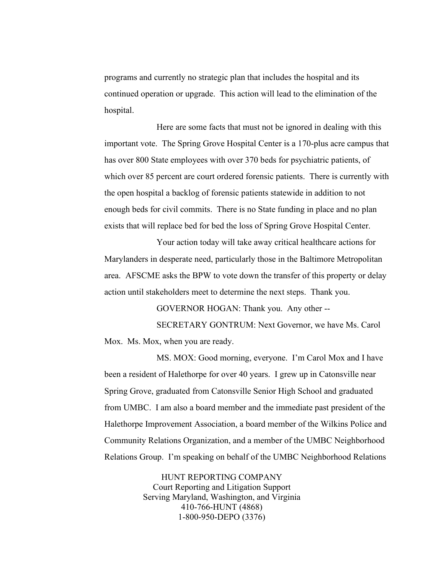programs and currently no strategic plan that includes the hospital and its continued operation or upgrade. This action will lead to the elimination of the hospital.

Here are some facts that must not be ignored in dealing with this important vote. The Spring Grove Hospital Center is a 170-plus acre campus that has over 800 State employees with over 370 beds for psychiatric patients, of which over 85 percent are court ordered forensic patients. There is currently with the open hospital a backlog of forensic patients statewide in addition to not enough beds for civil commits. There is no State funding in place and no plan exists that will replace bed for bed the loss of Spring Grove Hospital Center.

Your action today will take away critical healthcare actions for Marylanders in desperate need, particularly those in the Baltimore Metropolitan area. AFSCME asks the BPW to vote down the transfer of this property or delay action until stakeholders meet to determine the next steps. Thank you.

GOVERNOR HOGAN: Thank you. Any other --

SECRETARY GONTRUM: Next Governor, we have Ms. Carol Mox. Ms. Mox, when you are ready.

MS. MOX: Good morning, everyone. I'm Carol Mox and I have been a resident of Halethorpe for over 40 years. I grew up in Catonsville near Spring Grove, graduated from Catonsville Senior High School and graduated from UMBC. I am also a board member and the immediate past president of the Halethorpe Improvement Association, a board member of the Wilkins Police and Community Relations Organization, and a member of the UMBC Neighborhood Relations Group. I'm speaking on behalf of the UMBC Neighborhood Relations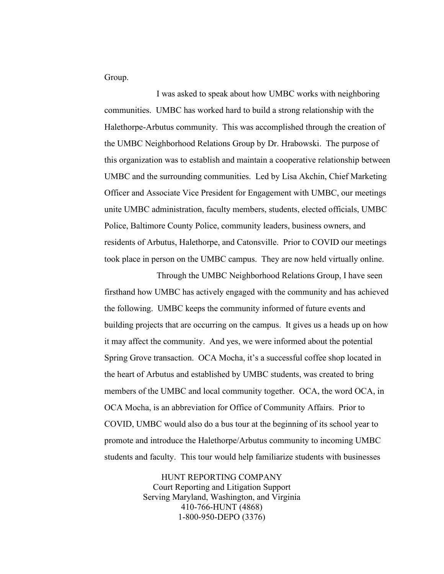Group.

I was asked to speak about how UMBC works with neighboring communities. UMBC has worked hard to build a strong relationship with the Halethorpe-Arbutus community. This was accomplished through the creation of the UMBC Neighborhood Relations Group by Dr. Hrabowski. The purpose of this organization was to establish and maintain a cooperative relationship between UMBC and the surrounding communities. Led by Lisa Akchin, Chief Marketing Officer and Associate Vice President for Engagement with UMBC, our meetings unite UMBC administration, faculty members, students, elected officials, UMBC Police, Baltimore County Police, community leaders, business owners, and residents of Arbutus, Halethorpe, and Catonsville. Prior to COVID our meetings took place in person on the UMBC campus. They are now held virtually online.

Through the UMBC Neighborhood Relations Group, I have seen firsthand how UMBC has actively engaged with the community and has achieved the following. UMBC keeps the community informed of future events and building projects that are occurring on the campus. It gives us a heads up on how it may affect the community. And yes, we were informed about the potential Spring Grove transaction. OCA Mocha, it's a successful coffee shop located in the heart of Arbutus and established by UMBC students, was created to bring members of the UMBC and local community together. OCA, the word OCA, in OCA Mocha, is an abbreviation for Office of Community Affairs. Prior to COVID, UMBC would also do a bus tour at the beginning of its school year to promote and introduce the Halethorpe/Arbutus community to incoming UMBC students and faculty. This tour would help familiarize students with businesses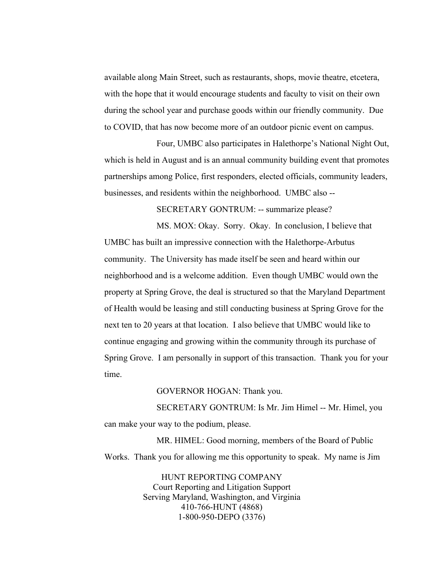available along Main Street, such as restaurants, shops, movie theatre, etcetera, with the hope that it would encourage students and faculty to visit on their own during the school year and purchase goods within our friendly community. Due to COVID, that has now become more of an outdoor picnic event on campus.

Four, UMBC also participates in Halethorpe's National Night Out, which is held in August and is an annual community building event that promotes partnerships among Police, first responders, elected officials, community leaders, businesses, and residents within the neighborhood. UMBC also --

SECRETARY GONTRUM: -- summarize please?

MS. MOX: Okay. Sorry. Okay. In conclusion, I believe that UMBC has built an impressive connection with the Halethorpe-Arbutus community. The University has made itself be seen and heard within our neighborhood and is a welcome addition. Even though UMBC would own the property at Spring Grove, the deal is structured so that the Maryland Department of Health would be leasing and still conducting business at Spring Grove for the next ten to 20 years at that location. I also believe that UMBC would like to continue engaging and growing within the community through its purchase of Spring Grove. I am personally in support of this transaction. Thank you for your time.

GOVERNOR HOGAN: Thank you.

SECRETARY GONTRUM: Is Mr. Jim Himel -- Mr. Himel, you can make your way to the podium, please.

MR. HIMEL: Good morning, members of the Board of Public Works. Thank you for allowing me this opportunity to speak. My name is Jim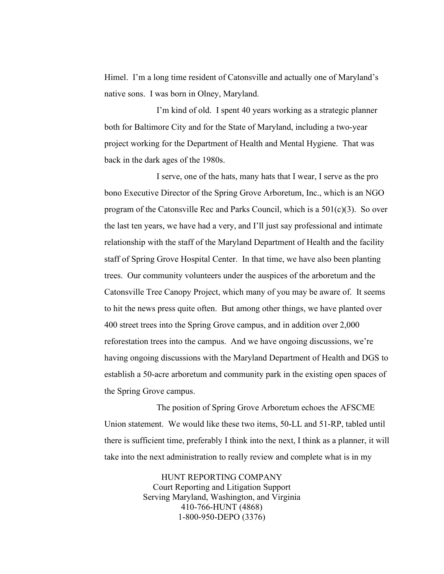Himel. I'm a long time resident of Catonsville and actually one of Maryland's native sons. I was born in Olney, Maryland.

I'm kind of old. I spent 40 years working as a strategic planner both for Baltimore City and for the State of Maryland, including a two-year project working for the Department of Health and Mental Hygiene. That was back in the dark ages of the 1980s.

I serve, one of the hats, many hats that I wear, I serve as the pro bono Executive Director of the Spring Grove Arboretum, Inc., which is an NGO program of the Catonsville Rec and Parks Council, which is a  $501(c)(3)$ . So over the last ten years, we have had a very, and I'll just say professional and intimate relationship with the staff of the Maryland Department of Health and the facility staff of Spring Grove Hospital Center. In that time, we have also been planting trees. Our community volunteers under the auspices of the arboretum and the Catonsville Tree Canopy Project, which many of you may be aware of. It seems to hit the news press quite often. But among other things, we have planted over 400 street trees into the Spring Grove campus, and in addition over 2,000 reforestation trees into the campus. And we have ongoing discussions, we're having ongoing discussions with the Maryland Department of Health and DGS to establish a 50-acre arboretum and community park in the existing open spaces of the Spring Grove campus.

The position of Spring Grove Arboretum echoes the AFSCME Union statement. We would like these two items, 50-LL and 51-RP, tabled until there is sufficient time, preferably I think into the next, I think as a planner, it will take into the next administration to really review and complete what is in my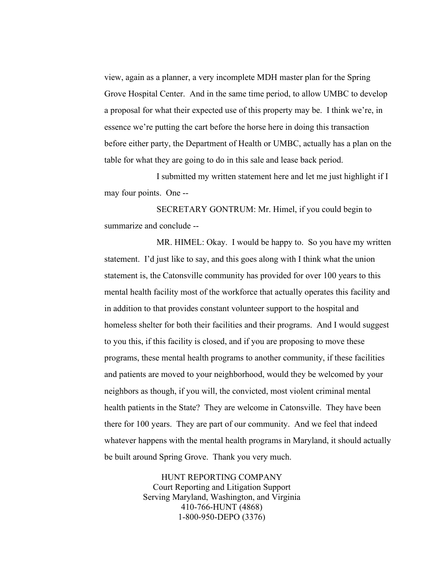view, again as a planner, a very incomplete MDH master plan for the Spring Grove Hospital Center. And in the same time period, to allow UMBC to develop a proposal for what their expected use of this property may be. I think we're, in essence we're putting the cart before the horse here in doing this transaction before either party, the Department of Health or UMBC, actually has a plan on the table for what they are going to do in this sale and lease back period.

I submitted my written statement here and let me just highlight if I may four points. One --

SECRETARY GONTRUM: Mr. Himel, if you could begin to summarize and conclude --

MR. HIMEL: Okay. I would be happy to. So you have my written statement. I'd just like to say, and this goes along with I think what the union statement is, the Catonsville community has provided for over 100 years to this mental health facility most of the workforce that actually operates this facility and in addition to that provides constant volunteer support to the hospital and homeless shelter for both their facilities and their programs. And I would suggest to you this, if this facility is closed, and if you are proposing to move these programs, these mental health programs to another community, if these facilities and patients are moved to your neighborhood, would they be welcomed by your neighbors as though, if you will, the convicted, most violent criminal mental health patients in the State? They are welcome in Catonsville. They have been there for 100 years. They are part of our community. And we feel that indeed whatever happens with the mental health programs in Maryland, it should actually be built around Spring Grove. Thank you very much.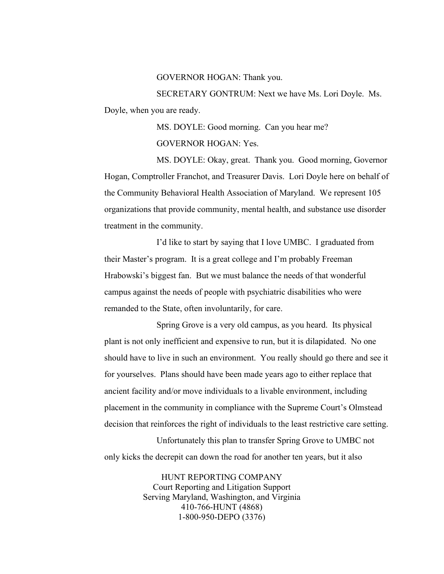## GOVERNOR HOGAN: Thank you.

SECRETARY GONTRUM: Next we have Ms. Lori Doyle. Ms. Doyle, when you are ready.

> MS. DOYLE: Good morning. Can you hear me? GOVERNOR HOGAN: Yes.

MS. DOYLE: Okay, great. Thank you. Good morning, Governor Hogan, Comptroller Franchot, and Treasurer Davis. Lori Doyle here on behalf of the Community Behavioral Health Association of Maryland. We represent 105 organizations that provide community, mental health, and substance use disorder treatment in the community.

I'd like to start by saying that I love UMBC. I graduated from their Master's program. It is a great college and I'm probably Freeman Hrabowski's biggest fan. But we must balance the needs of that wonderful campus against the needs of people with psychiatric disabilities who were remanded to the State, often involuntarily, for care.

Spring Grove is a very old campus, as you heard. Its physical plant is not only inefficient and expensive to run, but it is dilapidated. No one should have to live in such an environment. You really should go there and see it for yourselves. Plans should have been made years ago to either replace that ancient facility and/or move individuals to a livable environment, including placement in the community in compliance with the Supreme Court's Olmstead decision that reinforces the right of individuals to the least restrictive care setting.

 Unfortunately this plan to transfer Spring Grove to UMBC not only kicks the decrepit can down the road for another ten years, but it also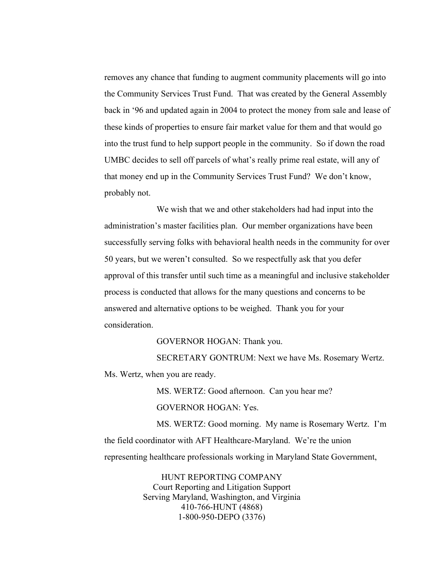removes any chance that funding to augment community placements will go into the Community Services Trust Fund. That was created by the General Assembly back in '96 and updated again in 2004 to protect the money from sale and lease of these kinds of properties to ensure fair market value for them and that would go into the trust fund to help support people in the community. So if down the road UMBC decides to sell off parcels of what's really prime real estate, will any of that money end up in the Community Services Trust Fund? We don't know, probably not.

We wish that we and other stakeholders had had input into the administration's master facilities plan. Our member organizations have been successfully serving folks with behavioral health needs in the community for over 50 years, but we weren't consulted. So we respectfully ask that you defer approval of this transfer until such time as a meaningful and inclusive stakeholder process is conducted that allows for the many questions and concerns to be answered and alternative options to be weighed. Thank you for your consideration.

GOVERNOR HOGAN: Thank you.

SECRETARY GONTRUM: Next we have Ms. Rosemary Wertz. Ms. Wertz, when you are ready.

MS. WERTZ: Good afternoon. Can you hear me?

GOVERNOR HOGAN: Yes.

MS. WERTZ: Good morning. My name is Rosemary Wertz. I'm the field coordinator with AFT Healthcare-Maryland. We're the union representing healthcare professionals working in Maryland State Government,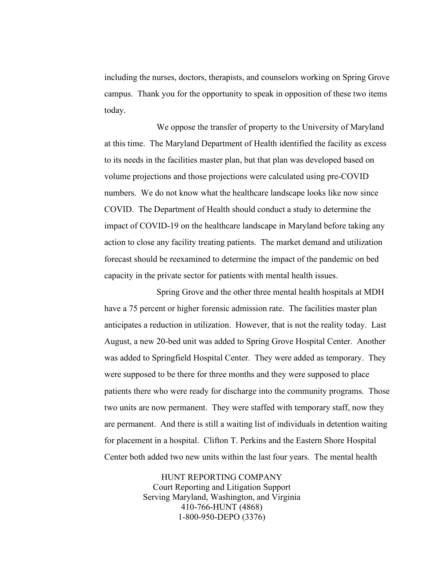including the nurses, doctors, therapists, and counselors working on Spring Grove campus. Thank you for the opportunity to speak in opposition of these two items today.

We oppose the transfer of property to the University of Maryland at this time. The Maryland Department of Health identified the facility as excess to its needs in the facilities master plan, but that plan was developed based on volume projections and those projections were calculated using pre-COVID numbers. We do not know what the healthcare landscape looks like now since COVID. The Department of Health should conduct a study to determine the impact of COVID-19 on the healthcare landscape in Maryland before taking any action to close any facility treating patients. The market demand and utilization forecast should be reexamined to determine the impact of the pandemic on bed capacity in the private sector for patients with mental health issues.

Spring Grove and the other three mental health hospitals at MDH have a 75 percent or higher forensic admission rate. The facilities master plan anticipates a reduction in utilization. However, that is not the reality today. Last August, a new 20-bed unit was added to Spring Grove Hospital Center. Another was added to Springfield Hospital Center. They were added as temporary. They were supposed to be there for three months and they were supposed to place patients there who were ready for discharge into the community programs. Those two units are now permanent. They were staffed with temporary staff, now they are permanent. And there is still a waiting list of individuals in detention waiting for placement in a hospital. Clifton T. Perkins and the Eastern Shore Hospital Center both added two new units within the last four years. The mental health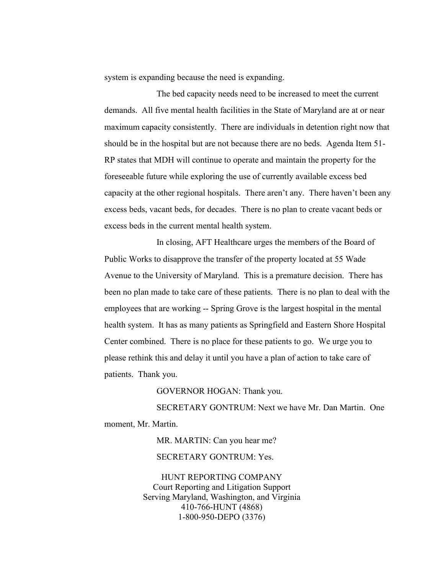system is expanding because the need is expanding.

The bed capacity needs need to be increased to meet the current demands. All five mental health facilities in the State of Maryland are at or near maximum capacity consistently. There are individuals in detention right now that should be in the hospital but are not because there are no beds. Agenda Item 51- RP states that MDH will continue to operate and maintain the property for the foreseeable future while exploring the use of currently available excess bed capacity at the other regional hospitals. There aren't any. There haven't been any excess beds, vacant beds, for decades. There is no plan to create vacant beds or excess beds in the current mental health system.

In closing, AFT Healthcare urges the members of the Board of Public Works to disapprove the transfer of the property located at 55 Wade Avenue to the University of Maryland. This is a premature decision. There has been no plan made to take care of these patients. There is no plan to deal with the employees that are working -- Spring Grove is the largest hospital in the mental health system. It has as many patients as Springfield and Eastern Shore Hospital Center combined. There is no place for these patients to go. We urge you to please rethink this and delay it until you have a plan of action to take care of patients. Thank you.

GOVERNOR HOGAN: Thank you.

SECRETARY GONTRUM: Next we have Mr. Dan Martin. One moment, Mr. Martin.

MR. MARTIN: Can you hear me?

SECRETARY GONTRUM: Yes.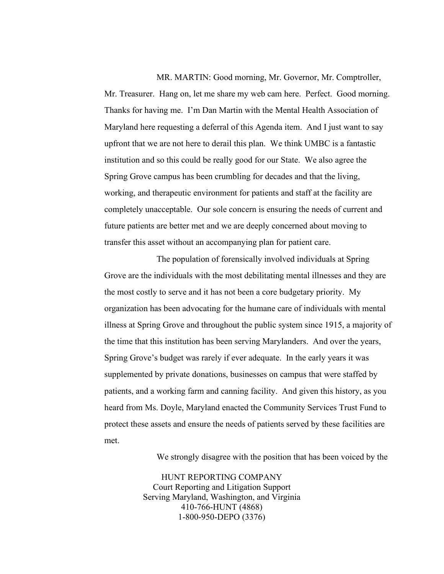MR. MARTIN: Good morning, Mr. Governor, Mr. Comptroller, Mr. Treasurer. Hang on, let me share my web cam here. Perfect. Good morning. Thanks for having me. I'm Dan Martin with the Mental Health Association of Maryland here requesting a deferral of this Agenda item. And I just want to say upfront that we are not here to derail this plan. We think UMBC is a fantastic institution and so this could be really good for our State. We also agree the Spring Grove campus has been crumbling for decades and that the living, working, and therapeutic environment for patients and staff at the facility are completely unacceptable. Our sole concern is ensuring the needs of current and future patients are better met and we are deeply concerned about moving to transfer this asset without an accompanying plan for patient care.

The population of forensically involved individuals at Spring Grove are the individuals with the most debilitating mental illnesses and they are the most costly to serve and it has not been a core budgetary priority. My organization has been advocating for the humane care of individuals with mental illness at Spring Grove and throughout the public system since 1915, a majority of the time that this institution has been serving Marylanders. And over the years, Spring Grove's budget was rarely if ever adequate. In the early years it was supplemented by private donations, businesses on campus that were staffed by patients, and a working farm and canning facility. And given this history, as you heard from Ms. Doyle, Maryland enacted the Community Services Trust Fund to protect these assets and ensure the needs of patients served by these facilities are met.

We strongly disagree with the position that has been voiced by the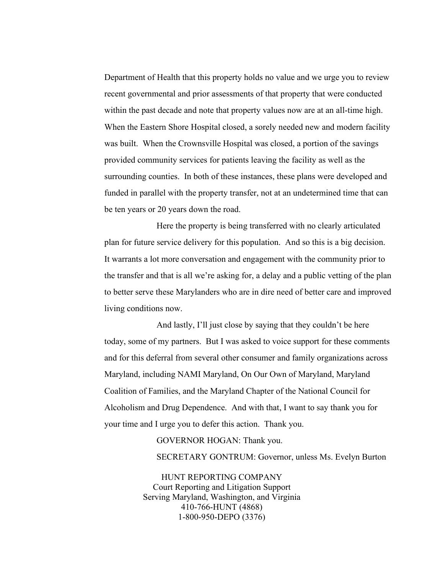Department of Health that this property holds no value and we urge you to review recent governmental and prior assessments of that property that were conducted within the past decade and note that property values now are at an all-time high. When the Eastern Shore Hospital closed, a sorely needed new and modern facility was built. When the Crownsville Hospital was closed, a portion of the savings provided community services for patients leaving the facility as well as the surrounding counties. In both of these instances, these plans were developed and funded in parallel with the property transfer, not at an undetermined time that can be ten years or 20 years down the road.

Here the property is being transferred with no clearly articulated plan for future service delivery for this population. And so this is a big decision. It warrants a lot more conversation and engagement with the community prior to the transfer and that is all we're asking for, a delay and a public vetting of the plan to better serve these Marylanders who are in dire need of better care and improved living conditions now.

And lastly, I'll just close by saying that they couldn't be here today, some of my partners. But I was asked to voice support for these comments and for this deferral from several other consumer and family organizations across Maryland, including NAMI Maryland, On Our Own of Maryland, Maryland Coalition of Families, and the Maryland Chapter of the National Council for Alcoholism and Drug Dependence. And with that, I want to say thank you for your time and I urge you to defer this action. Thank you.

## GOVERNOR HOGAN: Thank you.

SECRETARY GONTRUM: Governor, unless Ms. Evelyn Burton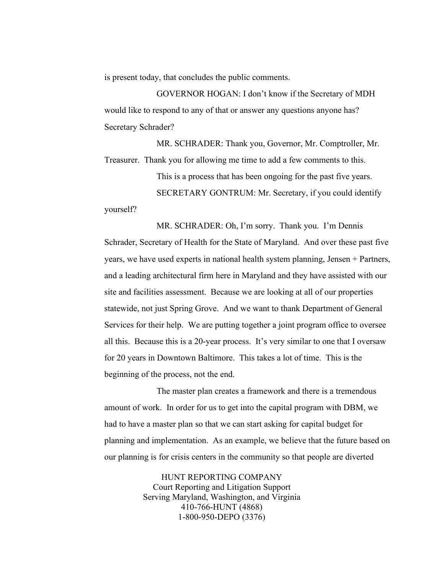is present today, that concludes the public comments.

GOVERNOR HOGAN: I don't know if the Secretary of MDH would like to respond to any of that or answer any questions anyone has? Secretary Schrader?

MR. SCHRADER: Thank you, Governor, Mr. Comptroller, Mr. Treasurer. Thank you for allowing me time to add a few comments to this.

This is a process that has been ongoing for the past five years.

SECRETARY GONTRUM: Mr. Secretary, if you could identify

yourself?

MR. SCHRADER: Oh, I'm sorry. Thank you. I'm Dennis Schrader, Secretary of Health for the State of Maryland. And over these past five years, we have used experts in national health system planning, Jensen + Partners, and a leading architectural firm here in Maryland and they have assisted with our site and facilities assessment. Because we are looking at all of our properties statewide, not just Spring Grove. And we want to thank Department of General Services for their help. We are putting together a joint program office to oversee all this. Because this is a 20-year process. It's very similar to one that I oversaw for 20 years in Downtown Baltimore. This takes a lot of time. This is the beginning of the process, not the end.

The master plan creates a framework and there is a tremendous amount of work. In order for us to get into the capital program with DBM, we had to have a master plan so that we can start asking for capital budget for planning and implementation. As an example, we believe that the future based on our planning is for crisis centers in the community so that people are diverted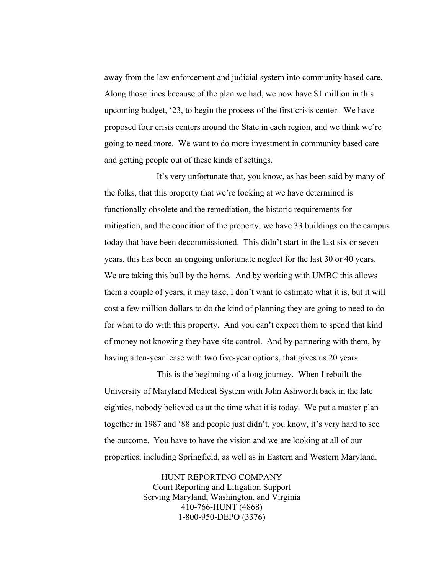away from the law enforcement and judicial system into community based care. Along those lines because of the plan we had, we now have \$1 million in this upcoming budget, '23, to begin the process of the first crisis center. We have proposed four crisis centers around the State in each region, and we think we're going to need more. We want to do more investment in community based care and getting people out of these kinds of settings.

It's very unfortunate that, you know, as has been said by many of the folks, that this property that we're looking at we have determined is functionally obsolete and the remediation, the historic requirements for mitigation, and the condition of the property, we have 33 buildings on the campus today that have been decommissioned. This didn't start in the last six or seven years, this has been an ongoing unfortunate neglect for the last 30 or 40 years. We are taking this bull by the horns. And by working with UMBC this allows them a couple of years, it may take, I don't want to estimate what it is, but it will cost a few million dollars to do the kind of planning they are going to need to do for what to do with this property. And you can't expect them to spend that kind of money not knowing they have site control. And by partnering with them, by having a ten-year lease with two five-year options, that gives us 20 years.

This is the beginning of a long journey. When I rebuilt the University of Maryland Medical System with John Ashworth back in the late eighties, nobody believed us at the time what it is today. We put a master plan together in 1987 and '88 and people just didn't, you know, it's very hard to see the outcome. You have to have the vision and we are looking at all of our properties, including Springfield, as well as in Eastern and Western Maryland.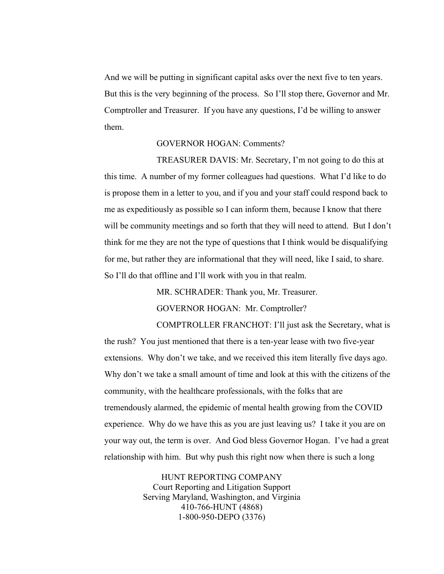And we will be putting in significant capital asks over the next five to ten years. But this is the very beginning of the process. So I'll stop there, Governor and Mr. Comptroller and Treasurer. If you have any questions, I'd be willing to answer them.

## GOVERNOR HOGAN: Comments?

TREASURER DAVIS: Mr. Secretary, I'm not going to do this at this time. A number of my former colleagues had questions. What I'd like to do is propose them in a letter to you, and if you and your staff could respond back to me as expeditiously as possible so I can inform them, because I know that there will be community meetings and so forth that they will need to attend. But I don't think for me they are not the type of questions that I think would be disqualifying for me, but rather they are informational that they will need, like I said, to share. So I'll do that offline and I'll work with you in that realm.

MR. SCHRADER: Thank you, Mr. Treasurer.

GOVERNOR HOGAN: Mr. Comptroller?

COMPTROLLER FRANCHOT: I'll just ask the Secretary, what is the rush? You just mentioned that there is a ten-year lease with two five-year extensions. Why don't we take, and we received this item literally five days ago. Why don't we take a small amount of time and look at this with the citizens of the community, with the healthcare professionals, with the folks that are tremendously alarmed, the epidemic of mental health growing from the COVID experience. Why do we have this as you are just leaving us? I take it you are on your way out, the term is over. And God bless Governor Hogan. I've had a great relationship with him. But why push this right now when there is such a long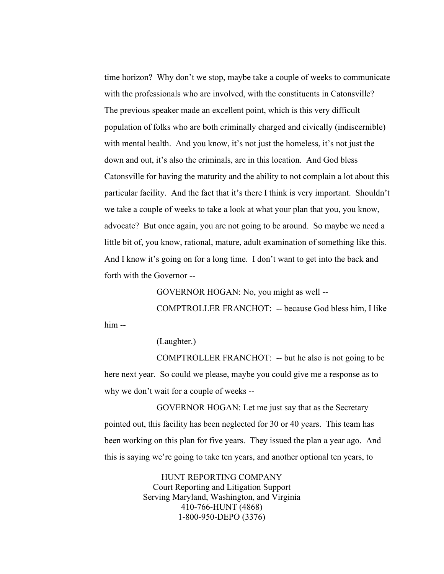time horizon? Why don't we stop, maybe take a couple of weeks to communicate with the professionals who are involved, with the constituents in Catonsville? The previous speaker made an excellent point, which is this very difficult population of folks who are both criminally charged and civically (indiscernible) with mental health. And you know, it's not just the homeless, it's not just the down and out, it's also the criminals, are in this location. And God bless Catonsville for having the maturity and the ability to not complain a lot about this particular facility. And the fact that it's there I think is very important. Shouldn't we take a couple of weeks to take a look at what your plan that you, you know, advocate? But once again, you are not going to be around. So maybe we need a little bit of, you know, rational, mature, adult examination of something like this. And I know it's going on for a long time. I don't want to get into the back and forth with the Governor --

GOVERNOR HOGAN: No, you might as well --

COMPTROLLER FRANCHOT: -- because God bless him, I like him --

(Laughter.)

COMPTROLLER FRANCHOT: -- but he also is not going to be here next year. So could we please, maybe you could give me a response as to why we don't wait for a couple of weeks --

GOVERNOR HOGAN: Let me just say that as the Secretary pointed out, this facility has been neglected for 30 or 40 years. This team has been working on this plan for five years. They issued the plan a year ago. And this is saying we're going to take ten years, and another optional ten years, to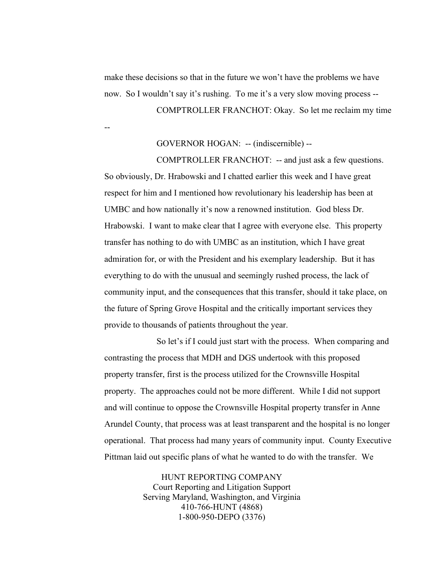--

make these decisions so that in the future we won't have the problems we have now. So I wouldn't say it's rushing. To me it's a very slow moving process -- COMPTROLLER FRANCHOT: Okay. So let me reclaim my time

GOVERNOR HOGAN: -- (indiscernible) --

COMPTROLLER FRANCHOT: -- and just ask a few questions. So obviously, Dr. Hrabowski and I chatted earlier this week and I have great respect for him and I mentioned how revolutionary his leadership has been at UMBC and how nationally it's now a renowned institution. God bless Dr. Hrabowski. I want to make clear that I agree with everyone else. This property transfer has nothing to do with UMBC as an institution, which I have great admiration for, or with the President and his exemplary leadership. But it has everything to do with the unusual and seemingly rushed process, the lack of community input, and the consequences that this transfer, should it take place, on the future of Spring Grove Hospital and the critically important services they provide to thousands of patients throughout the year.

So let's if I could just start with the process. When comparing and contrasting the process that MDH and DGS undertook with this proposed property transfer, first is the process utilized for the Crownsville Hospital property. The approaches could not be more different. While I did not support and will continue to oppose the Crownsville Hospital property transfer in Anne Arundel County, that process was at least transparent and the hospital is no longer operational. That process had many years of community input. County Executive Pittman laid out specific plans of what he wanted to do with the transfer. We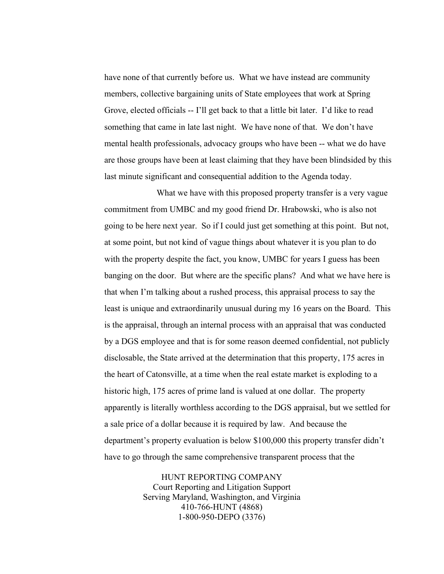have none of that currently before us. What we have instead are community members, collective bargaining units of State employees that work at Spring Grove, elected officials -- I'll get back to that a little bit later. I'd like to read something that came in late last night. We have none of that. We don't have mental health professionals, advocacy groups who have been -- what we do have are those groups have been at least claiming that they have been blindsided by this last minute significant and consequential addition to the Agenda today.

What we have with this proposed property transfer is a very vague commitment from UMBC and my good friend Dr. Hrabowski, who is also not going to be here next year. So if I could just get something at this point. But not, at some point, but not kind of vague things about whatever it is you plan to do with the property despite the fact, you know, UMBC for years I guess has been banging on the door. But where are the specific plans? And what we have here is that when I'm talking about a rushed process, this appraisal process to say the least is unique and extraordinarily unusual during my 16 years on the Board. This is the appraisal, through an internal process with an appraisal that was conducted by a DGS employee and that is for some reason deemed confidential, not publicly disclosable, the State arrived at the determination that this property, 175 acres in the heart of Catonsville, at a time when the real estate market is exploding to a historic high, 175 acres of prime land is valued at one dollar. The property apparently is literally worthless according to the DGS appraisal, but we settled for a sale price of a dollar because it is required by law. And because the department's property evaluation is below \$100,000 this property transfer didn't have to go through the same comprehensive transparent process that the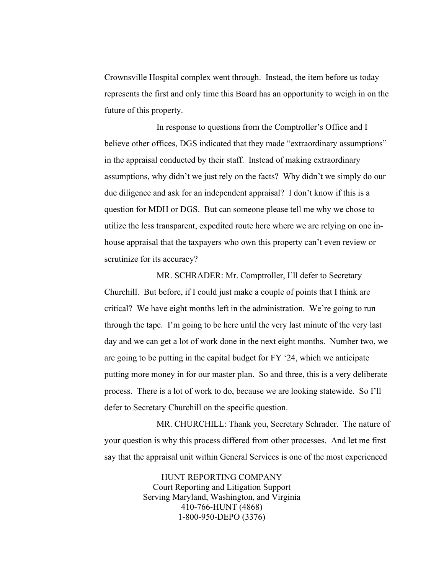Crownsville Hospital complex went through. Instead, the item before us today represents the first and only time this Board has an opportunity to weigh in on the future of this property.

In response to questions from the Comptroller's Office and I believe other offices, DGS indicated that they made "extraordinary assumptions" in the appraisal conducted by their staff. Instead of making extraordinary assumptions, why didn't we just rely on the facts? Why didn't we simply do our due diligence and ask for an independent appraisal? I don't know if this is a question for MDH or DGS. But can someone please tell me why we chose to utilize the less transparent, expedited route here where we are relying on one inhouse appraisal that the taxpayers who own this property can't even review or scrutinize for its accuracy?

MR. SCHRADER: Mr. Comptroller, I'll defer to Secretary Churchill. But before, if I could just make a couple of points that I think are critical? We have eight months left in the administration. We're going to run through the tape. I'm going to be here until the very last minute of the very last day and we can get a lot of work done in the next eight months. Number two, we are going to be putting in the capital budget for FY '24, which we anticipate putting more money in for our master plan. So and three, this is a very deliberate process. There is a lot of work to do, because we are looking statewide. So I'll defer to Secretary Churchill on the specific question.

MR. CHURCHILL: Thank you, Secretary Schrader. The nature of your question is why this process differed from other processes. And let me first say that the appraisal unit within General Services is one of the most experienced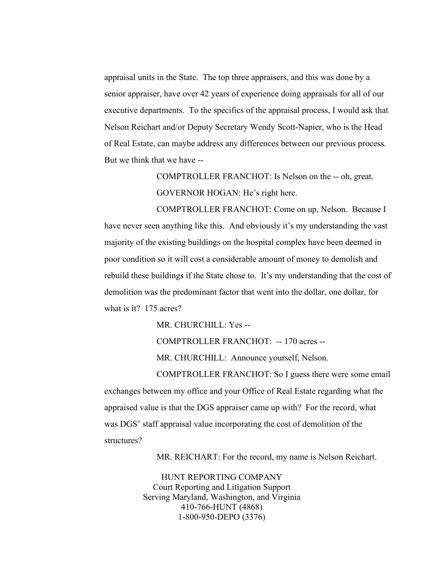appraisal units in the State. The top three appraisers, and this was done by a senior appraiser, have over 42 years of experience doing appraisals for all of our executive departments. To the specifics of the appraisal process, I would ask that Nelson Reichart and/or Deputy Secretary Wendy Scott-Napier, who is the Head of Real Estate, can maybe address any differences between our previous process. But we think that we have --

> COMPTROLLER FRANCHOT: Is Nelson on the -- oh, great. GOVERNOR HOGAN: He's right here.

COMPTROLLER FRANCHOT: Come on up, Nelson. Because I have never seen anything like this. And obviously it's my understanding the vast majority of the existing buildings on the hospital complex have been deemed in poor condition so it will cost a considerable amount of money to demolish and rebuild these buildings if the State chose to. It's my understanding that the cost of demolition was the predominant factor that went into the dollar, one dollar, for what is it? 175 acres?

MR. CHURCHILL: Yes --

COMPTROLLER FRANCHOT: -- 170 acres --

MR. CHURCHILL: Announce yourself, Nelson.

COMPTROLLER FRANCHOT: So I guess there were some email exchanges between my office and your Office of Real Estate regarding what the appraised value is that the DGS appraiser came up with? For the record, what was DGS' staff appraisal value incorporating the cost of demolition of the structures?

MR. REICHART: For the record, my name is Nelson Reichart.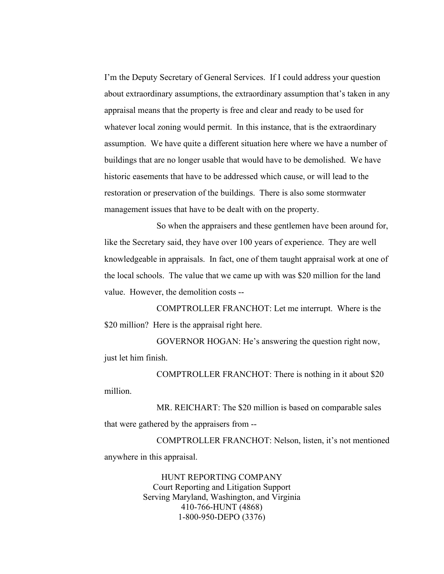I'm the Deputy Secretary of General Services. If I could address your question about extraordinary assumptions, the extraordinary assumption that's taken in any appraisal means that the property is free and clear and ready to be used for whatever local zoning would permit. In this instance, that is the extraordinary assumption. We have quite a different situation here where we have a number of buildings that are no longer usable that would have to be demolished. We have historic easements that have to be addressed which cause, or will lead to the restoration or preservation of the buildings. There is also some stormwater management issues that have to be dealt with on the property.

So when the appraisers and these gentlemen have been around for, like the Secretary said, they have over 100 years of experience. They are well knowledgeable in appraisals. In fact, one of them taught appraisal work at one of the local schools. The value that we came up with was \$20 million for the land value. However, the demolition costs --

COMPTROLLER FRANCHOT: Let me interrupt. Where is the \$20 million? Here is the appraisal right here.

GOVERNOR HOGAN: He's answering the question right now, just let him finish.

COMPTROLLER FRANCHOT: There is nothing in it about \$20 million.

MR. REICHART: The \$20 million is based on comparable sales that were gathered by the appraisers from --

COMPTROLLER FRANCHOT: Nelson, listen, it's not mentioned anywhere in this appraisal.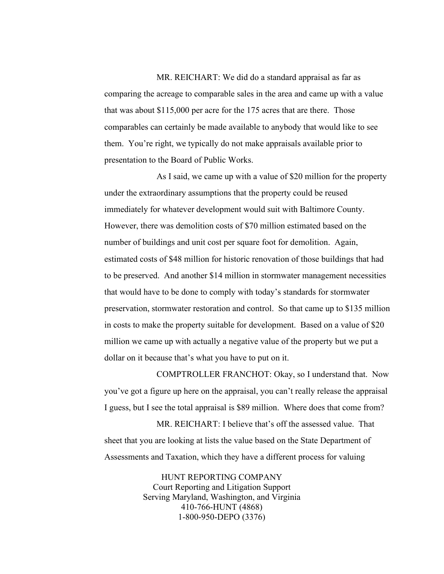MR. REICHART: We did do a standard appraisal as far as comparing the acreage to comparable sales in the area and came up with a value that was about \$115,000 per acre for the 175 acres that are there. Those comparables can certainly be made available to anybody that would like to see them. You're right, we typically do not make appraisals available prior to presentation to the Board of Public Works.

As I said, we came up with a value of \$20 million for the property under the extraordinary assumptions that the property could be reused immediately for whatever development would suit with Baltimore County. However, there was demolition costs of \$70 million estimated based on the number of buildings and unit cost per square foot for demolition. Again, estimated costs of \$48 million for historic renovation of those buildings that had to be preserved. And another \$14 million in stormwater management necessities that would have to be done to comply with today's standards for stormwater preservation, stormwater restoration and control. So that came up to \$135 million in costs to make the property suitable for development. Based on a value of \$20 million we came up with actually a negative value of the property but we put a dollar on it because that's what you have to put on it.

COMPTROLLER FRANCHOT: Okay, so I understand that. Now you've got a figure up here on the appraisal, you can't really release the appraisal I guess, but I see the total appraisal is \$89 million. Where does that come from?

MR. REICHART: I believe that's off the assessed value. That sheet that you are looking at lists the value based on the State Department of Assessments and Taxation, which they have a different process for valuing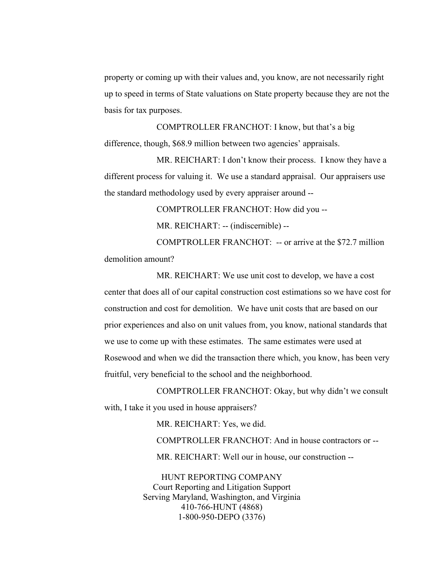property or coming up with their values and, you know, are not necessarily right up to speed in terms of State valuations on State property because they are not the basis for tax purposes.

COMPTROLLER FRANCHOT: I know, but that's a big difference, though, \$68.9 million between two agencies' appraisals.

MR. REICHART: I don't know their process. I know they have a different process for valuing it. We use a standard appraisal. Our appraisers use the standard methodology used by every appraiser around --

COMPTROLLER FRANCHOT: How did you --

MR. REICHART: -- (indiscernible) --

COMPTROLLER FRANCHOT: -- or arrive at the \$72.7 million demolition amount?

MR. REICHART: We use unit cost to develop, we have a cost center that does all of our capital construction cost estimations so we have cost for construction and cost for demolition. We have unit costs that are based on our prior experiences and also on unit values from, you know, national standards that we use to come up with these estimates. The same estimates were used at Rosewood and when we did the transaction there which, you know, has been very fruitful, very beneficial to the school and the neighborhood.

COMPTROLLER FRANCHOT: Okay, but why didn't we consult with, I take it you used in house appraisers?

MR. REICHART: Yes, we did.

COMPTROLLER FRANCHOT: And in house contractors or --

MR. REICHART: Well our in house, our construction --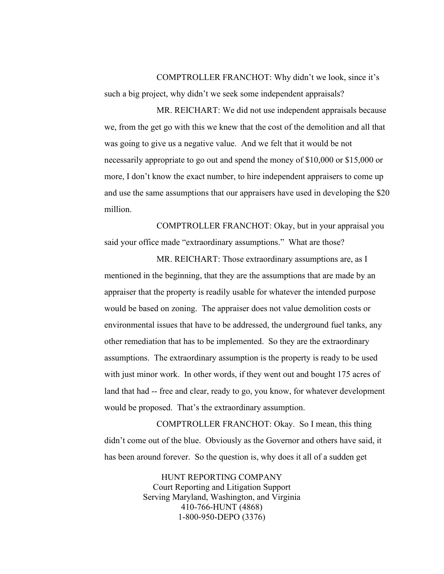COMPTROLLER FRANCHOT: Why didn't we look, since it's such a big project, why didn't we seek some independent appraisals?

MR. REICHART: We did not use independent appraisals because we, from the get go with this we knew that the cost of the demolition and all that was going to give us a negative value. And we felt that it would be not necessarily appropriate to go out and spend the money of \$10,000 or \$15,000 or more, I don't know the exact number, to hire independent appraisers to come up and use the same assumptions that our appraisers have used in developing the \$20 million.

COMPTROLLER FRANCHOT: Okay, but in your appraisal you said your office made "extraordinary assumptions." What are those?

MR. REICHART: Those extraordinary assumptions are, as I mentioned in the beginning, that they are the assumptions that are made by an appraiser that the property is readily usable for whatever the intended purpose would be based on zoning. The appraiser does not value demolition costs or environmental issues that have to be addressed, the underground fuel tanks, any other remediation that has to be implemented. So they are the extraordinary assumptions. The extraordinary assumption is the property is ready to be used with just minor work. In other words, if they went out and bought 175 acres of land that had -- free and clear, ready to go, you know, for whatever development would be proposed. That's the extraordinary assumption.

COMPTROLLER FRANCHOT: Okay. So I mean, this thing didn't come out of the blue. Obviously as the Governor and others have said, it has been around forever. So the question is, why does it all of a sudden get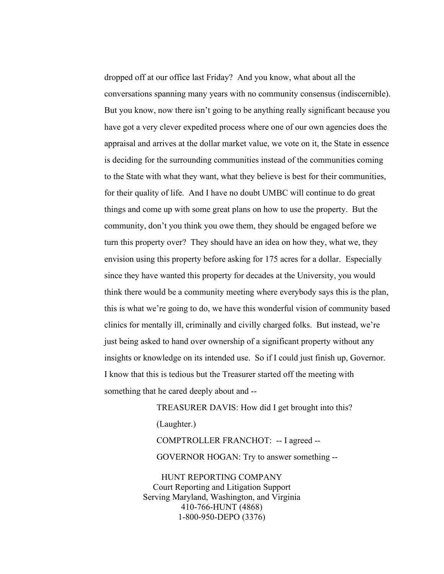dropped off at our office last Friday? And you know, what about all the conversations spanning many years with no community consensus (indiscernible). But you know, now there isn't going to be anything really significant because you have got a very clever expedited process where one of our own agencies does the appraisal and arrives at the dollar market value, we vote on it, the State in essence is deciding for the surrounding communities instead of the communities coming to the State with what they want, what they believe is best for their communities, for their quality of life. And I have no doubt UMBC will continue to do great things and come up with some great plans on how to use the property. But the community, don't you think you owe them, they should be engaged before we turn this property over? They should have an idea on how they, what we, they envision using this property before asking for 175 acres for a dollar. Especially since they have wanted this property for decades at the University, you would think there would be a community meeting where everybody says this is the plan, this is what we're going to do, we have this wonderful vision of community based clinics for mentally ill, criminally and civilly charged folks. But instead, we're just being asked to hand over ownership of a significant property without any insights or knowledge on its intended use. So if I could just finish up, Governor. I know that this is tedious but the Treasurer started off the meeting with something that he cared deeply about and --

> TREASURER DAVIS: How did I get brought into this? (Laughter.) COMPTROLLER FRANCHOT: -- I agreed -- GOVERNOR HOGAN: Try to answer something --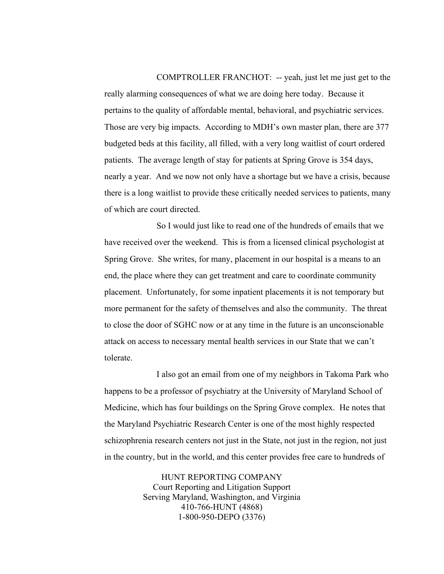COMPTROLLER FRANCHOT: -- yeah, just let me just get to the really alarming consequences of what we are doing here today. Because it pertains to the quality of affordable mental, behavioral, and psychiatric services. Those are very big impacts. According to MDH's own master plan, there are 377 budgeted beds at this facility, all filled, with a very long waitlist of court ordered patients. The average length of stay for patients at Spring Grove is 354 days, nearly a year. And we now not only have a shortage but we have a crisis, because there is a long waitlist to provide these critically needed services to patients, many of which are court directed.

So I would just like to read one of the hundreds of emails that we have received over the weekend. This is from a licensed clinical psychologist at Spring Grove. She writes, for many, placement in our hospital is a means to an end, the place where they can get treatment and care to coordinate community placement. Unfortunately, for some inpatient placements it is not temporary but more permanent for the safety of themselves and also the community. The threat to close the door of SGHC now or at any time in the future is an unconscionable attack on access to necessary mental health services in our State that we can't tolerate.

I also got an email from one of my neighbors in Takoma Park who happens to be a professor of psychiatry at the University of Maryland School of Medicine, which has four buildings on the Spring Grove complex. He notes that the Maryland Psychiatric Research Center is one of the most highly respected schizophrenia research centers not just in the State, not just in the region, not just in the country, but in the world, and this center provides free care to hundreds of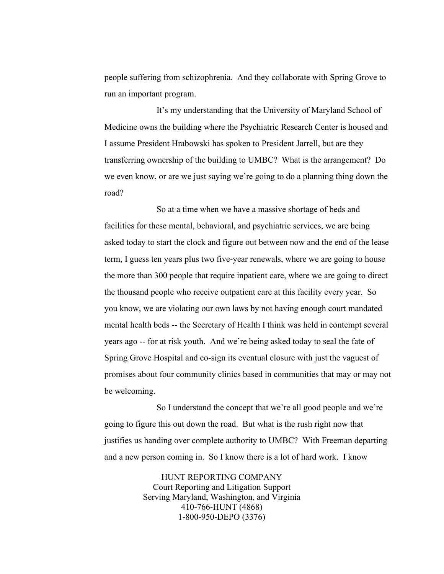people suffering from schizophrenia. And they collaborate with Spring Grove to run an important program.

It's my understanding that the University of Maryland School of Medicine owns the building where the Psychiatric Research Center is housed and I assume President Hrabowski has spoken to President Jarrell, but are they transferring ownership of the building to UMBC? What is the arrangement? Do we even know, or are we just saying we're going to do a planning thing down the road?

So at a time when we have a massive shortage of beds and facilities for these mental, behavioral, and psychiatric services, we are being asked today to start the clock and figure out between now and the end of the lease term, I guess ten years plus two five-year renewals, where we are going to house the more than 300 people that require inpatient care, where we are going to direct the thousand people who receive outpatient care at this facility every year. So you know, we are violating our own laws by not having enough court mandated mental health beds -- the Secretary of Health I think was held in contempt several years ago -- for at risk youth. And we're being asked today to seal the fate of Spring Grove Hospital and co-sign its eventual closure with just the vaguest of promises about four community clinics based in communities that may or may not be welcoming.

So I understand the concept that we're all good people and we're going to figure this out down the road. But what is the rush right now that justifies us handing over complete authority to UMBC? With Freeman departing and a new person coming in. So I know there is a lot of hard work. I know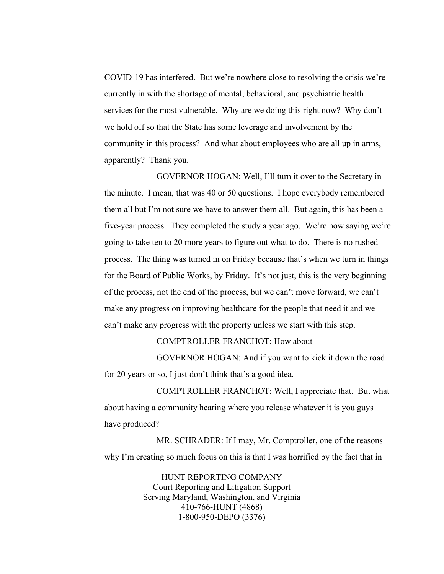COVID-19 has interfered. But we're nowhere close to resolving the crisis we're currently in with the shortage of mental, behavioral, and psychiatric health services for the most vulnerable. Why are we doing this right now? Why don't we hold off so that the State has some leverage and involvement by the community in this process? And what about employees who are all up in arms, apparently? Thank you.

 GOVERNOR HOGAN: Well, I'll turn it over to the Secretary in the minute. I mean, that was 40 or 50 questions. I hope everybody remembered them all but I'm not sure we have to answer them all. But again, this has been a five-year process. They completed the study a year ago. We're now saying we're going to take ten to 20 more years to figure out what to do. There is no rushed process. The thing was turned in on Friday because that's when we turn in things for the Board of Public Works, by Friday. It's not just, this is the very beginning of the process, not the end of the process, but we can't move forward, we can't make any progress on improving healthcare for the people that need it and we can't make any progress with the property unless we start with this step.

COMPTROLLER FRANCHOT: How about --

GOVERNOR HOGAN: And if you want to kick it down the road for 20 years or so, I just don't think that's a good idea.

COMPTROLLER FRANCHOT: Well, I appreciate that. But what about having a community hearing where you release whatever it is you guys have produced?

MR. SCHRADER: If I may, Mr. Comptroller, one of the reasons why I'm creating so much focus on this is that I was horrified by the fact that in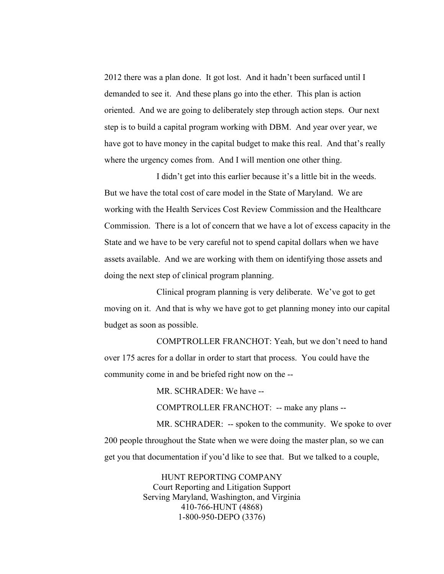2012 there was a plan done. It got lost. And it hadn't been surfaced until I demanded to see it. And these plans go into the ether. This plan is action oriented. And we are going to deliberately step through action steps. Our next step is to build a capital program working with DBM. And year over year, we have got to have money in the capital budget to make this real. And that's really where the urgency comes from. And I will mention one other thing.

I didn't get into this earlier because it's a little bit in the weeds. But we have the total cost of care model in the State of Maryland. We are working with the Health Services Cost Review Commission and the Healthcare Commission. There is a lot of concern that we have a lot of excess capacity in the State and we have to be very careful not to spend capital dollars when we have assets available. And we are working with them on identifying those assets and doing the next step of clinical program planning.

Clinical program planning is very deliberate. We've got to get moving on it. And that is why we have got to get planning money into our capital budget as soon as possible.

COMPTROLLER FRANCHOT: Yeah, but we don't need to hand over 175 acres for a dollar in order to start that process. You could have the community come in and be briefed right now on the --

MR. SCHRADER: We have --

COMPTROLLER FRANCHOT: -- make any plans --

MR. SCHRADER: -- spoken to the community. We spoke to over 200 people throughout the State when we were doing the master plan, so we can get you that documentation if you'd like to see that. But we talked to a couple,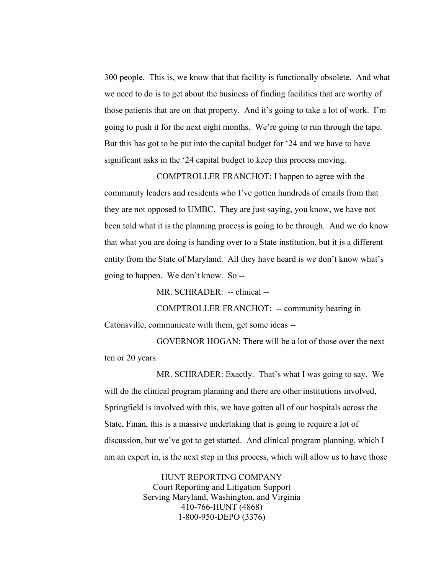300 people. This is, we know that that facility is functionally obsolete. And what we need to do is to get about the business of finding facilities that are worthy of those patients that are on that property. And it's going to take a lot of work. I'm going to push it for the next eight months. We're going to run through the tape. But this has got to be put into the capital budget for '24 and we have to have significant asks in the '24 capital budget to keep this process moving.

COMPTROLLER FRANCHOT: I happen to agree with the community leaders and residents who I've gotten hundreds of emails from that they are not opposed to UMBC. They are just saying, you know, we have not been told what it is the planning process is going to be through. And we do know that what you are doing is handing over to a State institution, but it is a different entity from the State of Maryland. All they have heard is we don't know what's going to happen. We don't know. So --

MR. SCHRADER: -- clinical --

COMPTROLLER FRANCHOT: -- community hearing in Catonsville, communicate with them, get some ideas --

GOVERNOR HOGAN: There will be a lot of those over the next ten or 20 years.

MR. SCHRADER: Exactly. That's what I was going to say. We will do the clinical program planning and there are other institutions involved, Springfield is involved with this, we have gotten all of our hospitals across the State, Finan, this is a massive undertaking that is going to require a lot of discussion, but we've got to get started. And clinical program planning, which I am an expert in, is the next step in this process, which will allow us to have those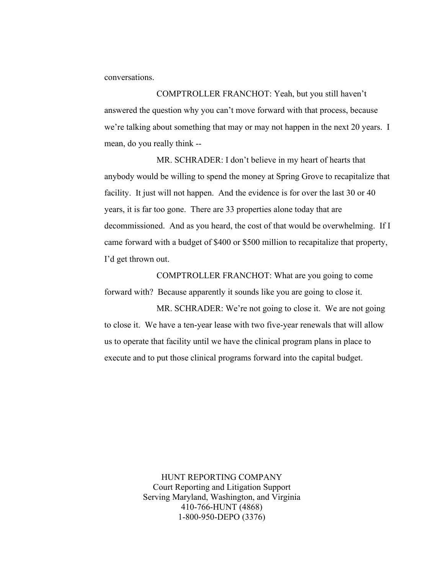conversations.

COMPTROLLER FRANCHOT: Yeah, but you still haven't answered the question why you can't move forward with that process, because we're talking about something that may or may not happen in the next 20 years. I mean, do you really think --

MR. SCHRADER: I don't believe in my heart of hearts that anybody would be willing to spend the money at Spring Grove to recapitalize that facility. It just will not happen. And the evidence is for over the last 30 or 40 years, it is far too gone. There are 33 properties alone today that are decommissioned. And as you heard, the cost of that would be overwhelming. If I came forward with a budget of \$400 or \$500 million to recapitalize that property, I'd get thrown out.

COMPTROLLER FRANCHOT: What are you going to come forward with? Because apparently it sounds like you are going to close it.

MR. SCHRADER: We're not going to close it. We are not going to close it. We have a ten-year lease with two five-year renewals that will allow us to operate that facility until we have the clinical program plans in place to execute and to put those clinical programs forward into the capital budget.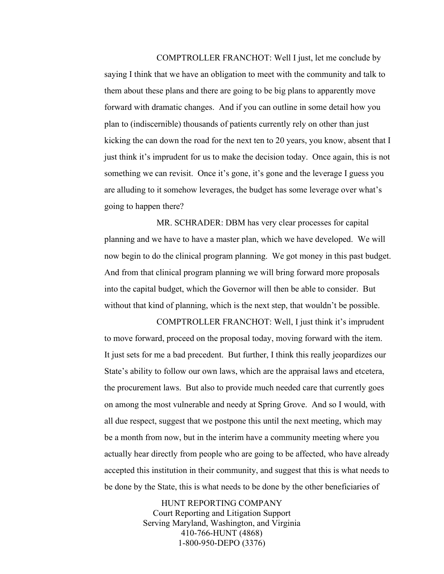COMPTROLLER FRANCHOT: Well I just, let me conclude by saying I think that we have an obligation to meet with the community and talk to them about these plans and there are going to be big plans to apparently move forward with dramatic changes. And if you can outline in some detail how you plan to (indiscernible) thousands of patients currently rely on other than just kicking the can down the road for the next ten to 20 years, you know, absent that I just think it's imprudent for us to make the decision today. Once again, this is not something we can revisit. Once it's gone, it's gone and the leverage I guess you

are alluding to it somehow leverages, the budget has some leverage over what's going to happen there?

MR. SCHRADER: DBM has very clear processes for capital planning and we have to have a master plan, which we have developed. We will now begin to do the clinical program planning. We got money in this past budget. And from that clinical program planning we will bring forward more proposals into the capital budget, which the Governor will then be able to consider. But without that kind of planning, which is the next step, that wouldn't be possible.

COMPTROLLER FRANCHOT: Well, I just think it's imprudent to move forward, proceed on the proposal today, moving forward with the item. It just sets for me a bad precedent. But further, I think this really jeopardizes our State's ability to follow our own laws, which are the appraisal laws and etcetera, the procurement laws. But also to provide much needed care that currently goes on among the most vulnerable and needy at Spring Grove. And so I would, with all due respect, suggest that we postpone this until the next meeting, which may be a month from now, but in the interim have a community meeting where you actually hear directly from people who are going to be affected, who have already accepted this institution in their community, and suggest that this is what needs to be done by the State, this is what needs to be done by the other beneficiaries of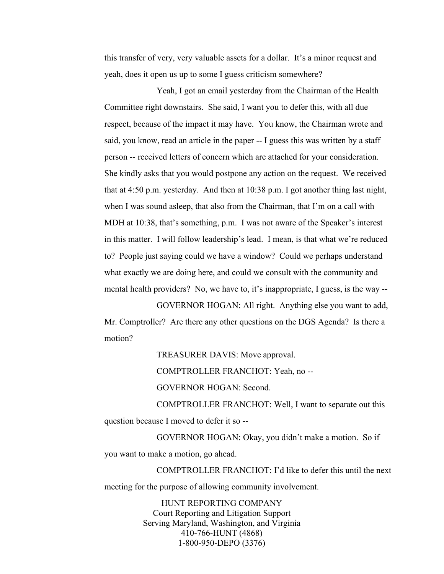this transfer of very, very valuable assets for a dollar. It's a minor request and yeah, does it open us up to some I guess criticism somewhere?

Yeah, I got an email yesterday from the Chairman of the Health Committee right downstairs. She said, I want you to defer this, with all due respect, because of the impact it may have. You know, the Chairman wrote and said, you know, read an article in the paper -- I guess this was written by a staff person -- received letters of concern which are attached for your consideration. She kindly asks that you would postpone any action on the request. We received that at 4:50 p.m. yesterday. And then at 10:38 p.m. I got another thing last night, when I was sound asleep, that also from the Chairman, that I'm on a call with MDH at 10:38, that's something, p.m. I was not aware of the Speaker's interest in this matter. I will follow leadership's lead. I mean, is that what we're reduced to? People just saying could we have a window? Could we perhaps understand what exactly we are doing here, and could we consult with the community and mental health providers? No, we have to, it's inappropriate, I guess, is the way --

GOVERNOR HOGAN: All right. Anything else you want to add, Mr. Comptroller? Are there any other questions on the DGS Agenda? Is there a motion?

> TREASURER DAVIS: Move approval. COMPTROLLER FRANCHOT: Yeah, no -- GOVERNOR HOGAN: Second.

COMPTROLLER FRANCHOT: Well, I want to separate out this question because I moved to defer it so --

GOVERNOR HOGAN: Okay, you didn't make a motion. So if you want to make a motion, go ahead.

COMPTROLLER FRANCHOT: I'd like to defer this until the next meeting for the purpose of allowing community involvement.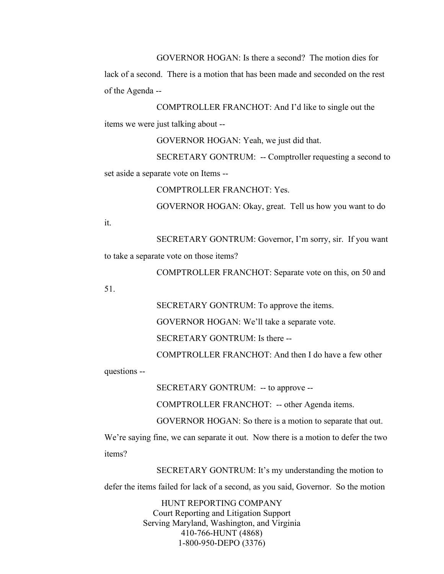GOVERNOR HOGAN: Is there a second? The motion dies for

lack of a second. There is a motion that has been made and seconded on the rest of the Agenda --

COMPTROLLER FRANCHOT: And I'd like to single out the items we were just talking about --

GOVERNOR HOGAN: Yeah, we just did that.

SECRETARY GONTRUM: -- Comptroller requesting a second to set aside a separate vote on Items --

COMPTROLLER FRANCHOT: Yes.

GOVERNOR HOGAN: Okay, great. Tell us how you want to do

it.

SECRETARY GONTRUM: Governor, I'm sorry, sir. If you want to take a separate vote on those items?

COMPTROLLER FRANCHOT: Separate vote on this, on 50 and

51.

SECRETARY GONTRUM: To approve the items.

GOVERNOR HOGAN: We'll take a separate vote.

SECRETARY GONTRUM: Is there --

COMPTROLLER FRANCHOT: And then I do have a few other

questions --

SECRETARY GONTRUM: -- to approve --

COMPTROLLER FRANCHOT: -- other Agenda items.

GOVERNOR HOGAN: So there is a motion to separate that out.

We're saying fine, we can separate it out. Now there is a motion to defer the two items?

SECRETARY GONTRUM: It's my understanding the motion to

defer the items failed for lack of a second, as you said, Governor. So the motion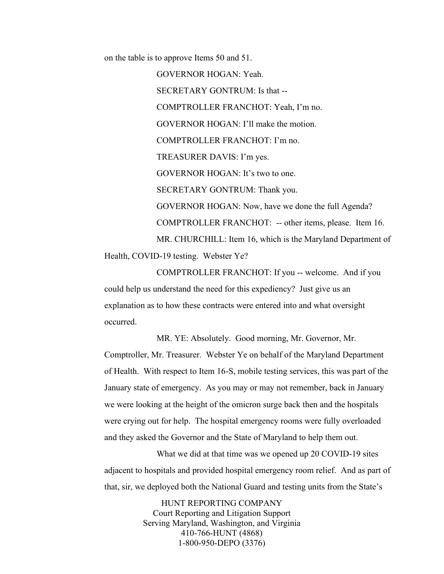on the table is to approve Items 50 and 51.

GOVERNOR HOGAN: Yeah. SECRETARY GONTRUM: Is that -- COMPTROLLER FRANCHOT: Yeah, I'm no. GOVERNOR HOGAN: I'll make the motion. COMPTROLLER FRANCHOT: I'm no. TREASURER DAVIS: I'm yes. GOVERNOR HOGAN: It's two to one. SECRETARY GONTRUM: Thank you. GOVERNOR HOGAN: Now, have we done the full Agenda? COMPTROLLER FRANCHOT: -- other items, please. Item 16. MR. CHURCHILL: Item 16, which is the Maryland Department of Health, COVID-19 testing. Webster Ye?

COMPTROLLER FRANCHOT: If you -- welcome. And if you could help us understand the need for this expediency? Just give us an explanation as to how these contracts were entered into and what oversight occurred.

MR. YE: Absolutely. Good morning, Mr. Governor, Mr. Comptroller, Mr. Treasurer. Webster Ye on behalf of the Maryland Department of Health. With respect to Item 16-S, mobile testing services, this was part of the January state of emergency. As you may or may not remember, back in January we were looking at the height of the omicron surge back then and the hospitals were crying out for help. The hospital emergency rooms were fully overloaded and they asked the Governor and the State of Maryland to help them out.

What we did at that time was we opened up 20 COVID-19 sites adjacent to hospitals and provided hospital emergency room relief. And as part of that, sir, we deployed both the National Guard and testing units from the State's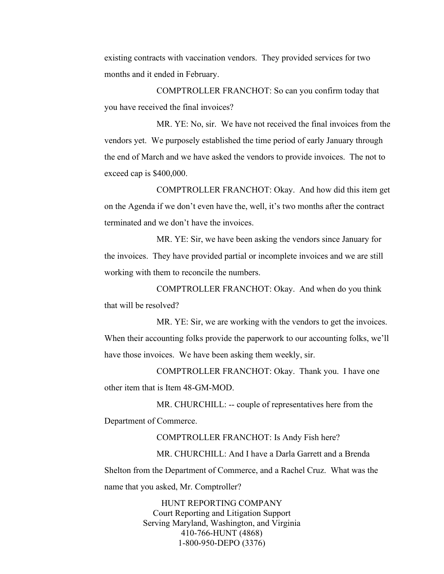existing contracts with vaccination vendors. They provided services for two months and it ended in February.

COMPTROLLER FRANCHOT: So can you confirm today that you have received the final invoices?

MR. YE: No, sir. We have not received the final invoices from the vendors yet. We purposely established the time period of early January through the end of March and we have asked the vendors to provide invoices. The not to exceed cap is \$400,000.

COMPTROLLER FRANCHOT: Okay. And how did this item get on the Agenda if we don't even have the, well, it's two months after the contract terminated and we don't have the invoices.

MR. YE: Sir, we have been asking the vendors since January for the invoices. They have provided partial or incomplete invoices and we are still working with them to reconcile the numbers.

COMPTROLLER FRANCHOT: Okay. And when do you think that will be resolved?

MR. YE: Sir, we are working with the vendors to get the invoices. When their accounting folks provide the paperwork to our accounting folks, we'll have those invoices. We have been asking them weekly, sir.

COMPTROLLER FRANCHOT: Okay. Thank you. I have one other item that is Item 48-GM-MOD.

MR. CHURCHILL: -- couple of representatives here from the Department of Commerce.

COMPTROLLER FRANCHOT: Is Andy Fish here?

MR. CHURCHILL: And I have a Darla Garrett and a Brenda Shelton from the Department of Commerce, and a Rachel Cruz. What was the name that you asked, Mr. Comptroller?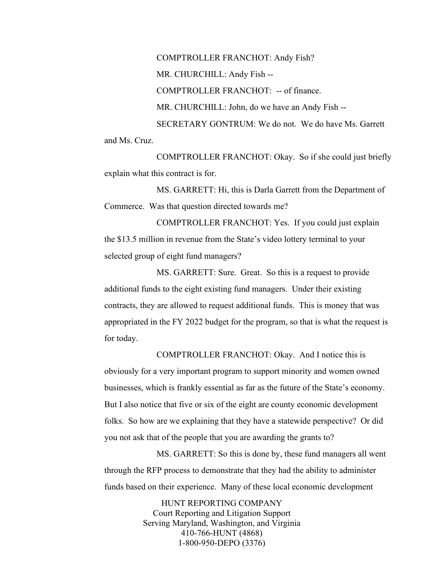COMPTROLLER FRANCHOT: Andy Fish? MR. CHURCHILL: Andy Fish -- COMPTROLLER FRANCHOT: -- of finance. MR. CHURCHILL: John, do we have an Andy Fish -- SECRETARY GONTRUM: We do not. We do have Ms. Garrett and Ms. Cruz.

COMPTROLLER FRANCHOT: Okay. So if she could just briefly explain what this contract is for.

MS. GARRETT: Hi, this is Darla Garrett from the Department of Commerce. Was that question directed towards me?

COMPTROLLER FRANCHOT: Yes. If you could just explain the \$13.5 million in revenue from the State's video lottery terminal to your selected group of eight fund managers?

MS. GARRETT: Sure. Great. So this is a request to provide additional funds to the eight existing fund managers. Under their existing contracts, they are allowed to request additional funds. This is money that was appropriated in the FY 2022 budget for the program, so that is what the request is for today.

COMPTROLLER FRANCHOT: Okay. And I notice this is obviously for a very important program to support minority and women owned businesses, which is frankly essential as far as the future of the State's economy. But I also notice that five or six of the eight are county economic development folks. So how are we explaining that they have a statewide perspective? Or did you not ask that of the people that you are awarding the grants to?

MS. GARRETT: So this is done by, these fund managers all went through the RFP process to demonstrate that they had the ability to administer funds based on their experience. Many of these local economic development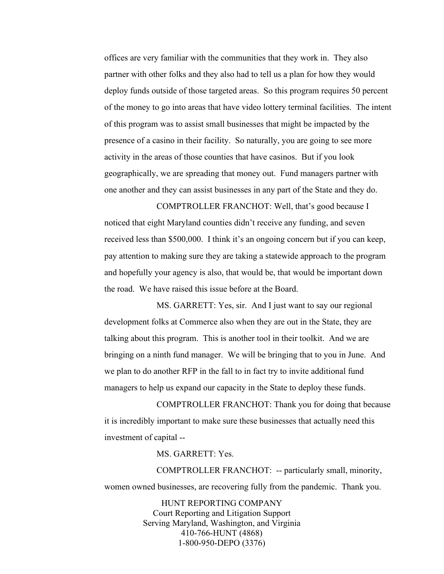offices are very familiar with the communities that they work in. They also partner with other folks and they also had to tell us a plan for how they would deploy funds outside of those targeted areas. So this program requires 50 percent of the money to go into areas that have video lottery terminal facilities. The intent of this program was to assist small businesses that might be impacted by the presence of a casino in their facility. So naturally, you are going to see more activity in the areas of those counties that have casinos. But if you look geographically, we are spreading that money out. Fund managers partner with one another and they can assist businesses in any part of the State and they do.

COMPTROLLER FRANCHOT: Well, that's good because I noticed that eight Maryland counties didn't receive any funding, and seven received less than \$500,000. I think it's an ongoing concern but if you can keep, pay attention to making sure they are taking a statewide approach to the program and hopefully your agency is also, that would be, that would be important down the road. We have raised this issue before at the Board.

MS. GARRETT: Yes, sir. And I just want to say our regional development folks at Commerce also when they are out in the State, they are talking about this program. This is another tool in their toolkit. And we are bringing on a ninth fund manager. We will be bringing that to you in June. And we plan to do another RFP in the fall to in fact try to invite additional fund managers to help us expand our capacity in the State to deploy these funds.

COMPTROLLER FRANCHOT: Thank you for doing that because it is incredibly important to make sure these businesses that actually need this investment of capital --

MS. GARRETT: Yes.

COMPTROLLER FRANCHOT: -- particularly small, minority, women owned businesses, are recovering fully from the pandemic. Thank you.